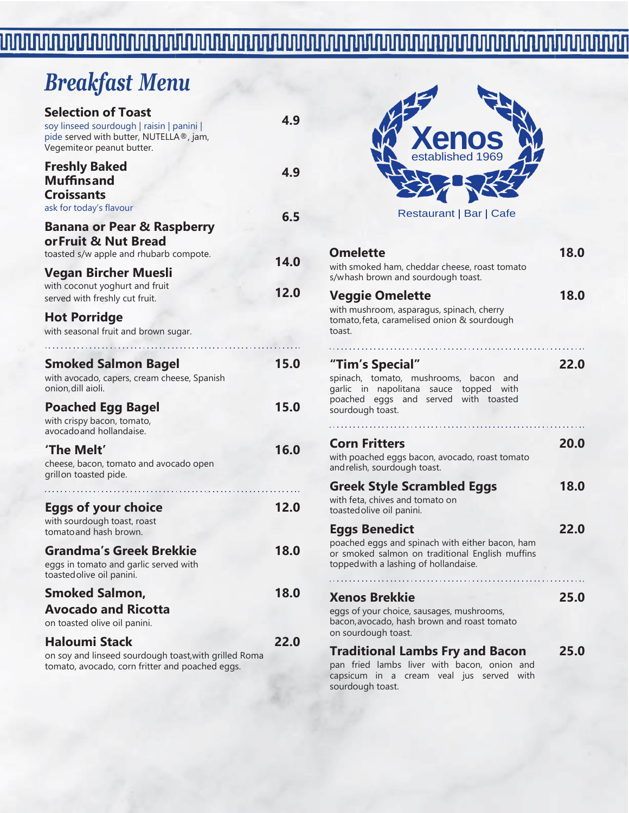#### 

# *Breakfast Menu*

| <b>Selection of Toast</b><br>soy linseed sourdough   raisin   panini  <br>pide served with butter, NUTELLA®, jam,<br>Vegemiteor peanut butter. | 4.9         |
|------------------------------------------------------------------------------------------------------------------------------------------------|-------------|
| <b>Freshly Baked</b><br><b>Muffinsand</b><br><b>Croissants</b>                                                                                 | 4.9         |
| ask for today's flavour<br><b>Banana or Pear &amp; Raspberry</b><br>or Fruit & Nut Bread<br>toasted s/w apple and rhubarb compote.             | 6.5<br>14.0 |
| Vegan Bircher Muesli<br>with coconut yoghurt and fruit<br>served with freshly cut fruit.                                                       | 12.0        |
| <b>Hot Porridge</b><br>with seasonal fruit and brown sugar.                                                                                    |             |
| Smoked Salmon Bagel<br>with avocado, capers, cream cheese, Spanish<br>onion, dill aioli.                                                       | 15.0        |
| <b>Poached Egg Bagel</b><br>with crispy bacon, tomato,<br>avocado and hollandaise.                                                             | 15.0        |
| 'The Melt'<br>cheese, bacon, tomato and avocado open<br>grillon toasted pide.                                                                  | 16.0        |
| <b>Eggs of your choice</b><br>with sourdough toast, roast<br>tomato and hash brown.                                                            | 12.0        |
| <b>Grandma's Greek Brekkie</b><br>eggs in tomato and garlic served with<br>toasted olive oil panini.                                           | 18.0        |
| <b>Smoked Salmon,</b><br><b>Avocado and Ricotta</b><br>on toasted olive oil panini.                                                            | 18.0        |
| <b>Haloumi Stack</b><br>on soy and linseed sourdough toast, with grilled Roma<br>tomato, avocado, corn fritter and poached eggs.               | 22.0        |



**Omelette 18.0** with smoked ham, cheddar cheese, roast tomato s/whash brown and sourdough toast. **Veggie Omelette 18.0** with mushroom, asparagus, spinach, cherry tomato,feta, caramelised onion & sourdough toast. . . . . . . . . . . . . . . . . . . **"Tim's Special" 22.0** spinach, tomato, mushrooms, bacon and garlic in napolitana sauce topped with poached eggs and served with toasted sourdough toast. . . . . . . . . . . . . . . . . . **Corn Fritters 20.0** with poached eggs bacon, avocado, roast tomato andrelish, sourdough toast. **Greek Style Scrambled Eggs 18.0** with feta, chives and tomato on toastedolive oil panini. **Eggs Benedict 22.0** poached eggs and spinach with either bacon, ham or smoked salmon on traditional English muffins toppedwith a lashing of hollandaise. . . . . . . . . . . . . . . . . **Xenos Brekkie 25.0** eggs of your choice, sausages, mushrooms, bacon,avocado, hash brown and roast tomato on sourdough toast. **Traditional Lambs Fry and Bacon 25.0** pan fried lambs liver with bacon, onion and capsicum in a cream veal jus served with sourdough toast.